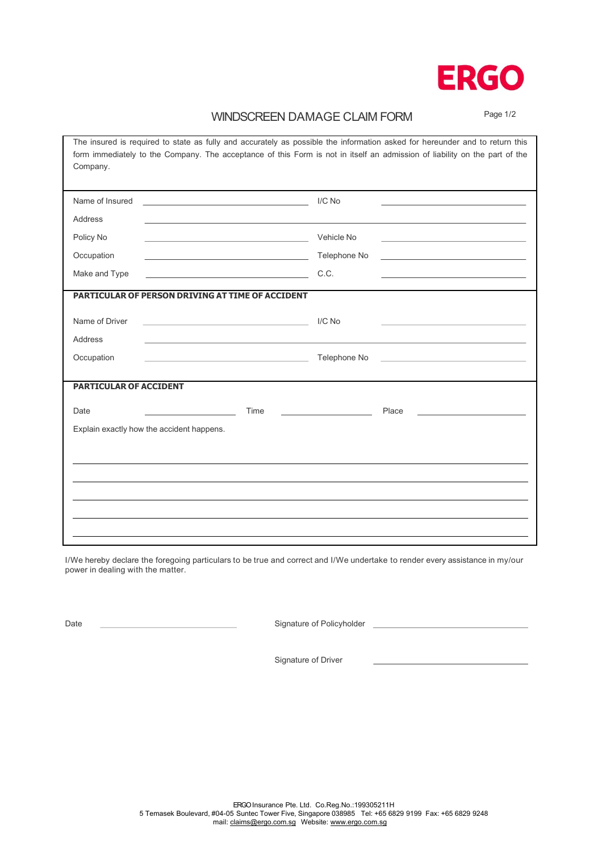

## WINDSCREEN DAMAGE CLAIM FORM Page 1/2

| The insured is required to state as fully and accurately as possible the information asked for hereunder and to return this<br>form immediately to the Company. The acceptance of this Form is not in itself an admission of liability on the part of the<br>Company. |              |
|-----------------------------------------------------------------------------------------------------------------------------------------------------------------------------------------------------------------------------------------------------------------------|--------------|
| Name of Insured                                                                                                                                                                                                                                                       | I/C No       |
| Address                                                                                                                                                                                                                                                               |              |
| Policy No                                                                                                                                                                                                                                                             | Vehicle No   |
| Occupation                                                                                                                                                                                                                                                            | Telephone No |
| Make and Type                                                                                                                                                                                                                                                         | C.C.         |
| <b>PARTICULAR OF PERSON DRIVING AT TIME OF ACCIDENT</b>                                                                                                                                                                                                               |              |
| Name of Driver                                                                                                                                                                                                                                                        | I/C No       |
| Address                                                                                                                                                                                                                                                               |              |
| Occupation                                                                                                                                                                                                                                                            | Telephone No |
| <b>PARTICULAR OF ACCIDENT</b>                                                                                                                                                                                                                                         |              |
| Date<br>Time                                                                                                                                                                                                                                                          | Place        |
| Explain exactly how the accident happens.                                                                                                                                                                                                                             |              |
|                                                                                                                                                                                                                                                                       |              |
|                                                                                                                                                                                                                                                                       |              |
|                                                                                                                                                                                                                                                                       |              |
|                                                                                                                                                                                                                                                                       |              |
|                                                                                                                                                                                                                                                                       |              |

I/We hereby declare the foregoing particulars to be true and correct and I/We undertake to render every assistance in my/our power in dealing with the matter.

Date **Confidence** Signature of Policyholder

Signature of Driver